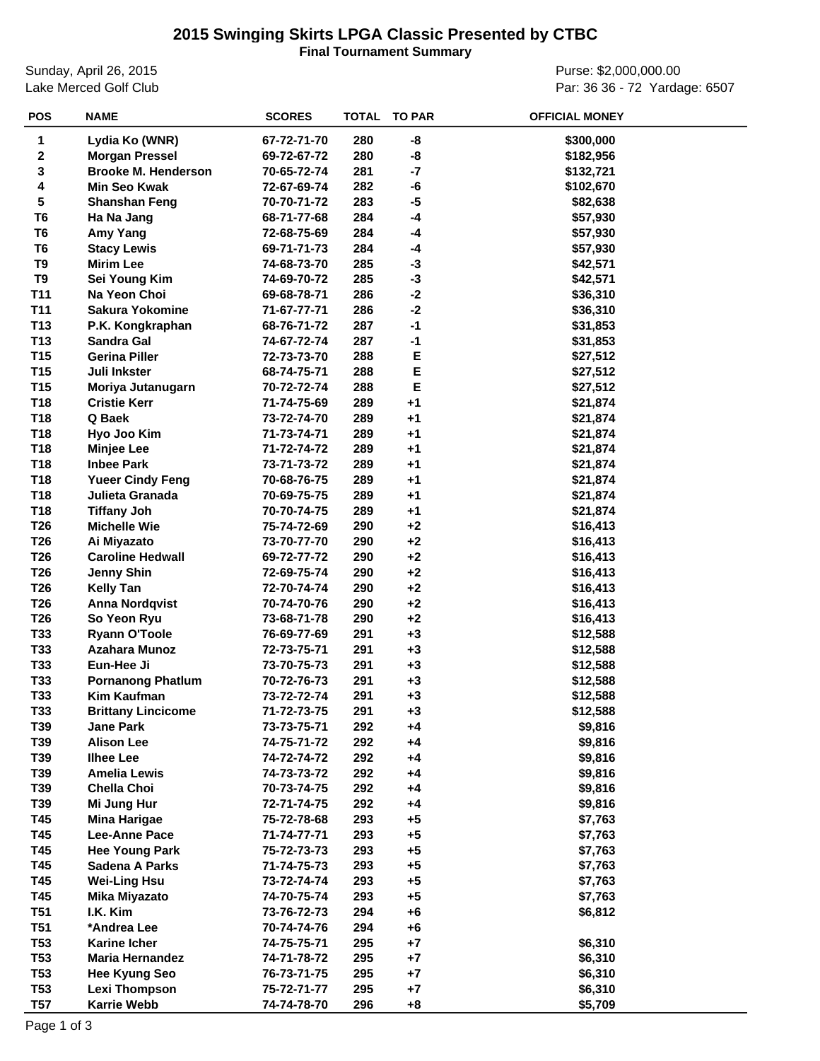## **2015 Swinging Skirts LPGA Classic Presented by CTBC**

**Final Tournament Summary**

Sunday, April 26, 2015 Lake Merced Golf Club

Purse: \$2,000,000.00 Par: 36 36 - 72 Yardage: 6507

| <b>POS</b>      | <b>NAME</b>                | <b>SCORES</b> | TOTAL | <b>TO PAR</b> | <b>OFFICIAL MONEY</b> |
|-----------------|----------------------------|---------------|-------|---------------|-----------------------|
| $\mathbf{1}$    | Lydia Ko (WNR)             | 67-72-71-70   | 280   | -8            | \$300,000             |
| $\mathbf 2$     | <b>Morgan Pressel</b>      | 69-72-67-72   | 280   | -8            | \$182,956             |
| 3               | <b>Brooke M. Henderson</b> | 70-65-72-74   | 281   | $-7$          | \$132,721             |
| 4               | <b>Min Seo Kwak</b>        | 72-67-69-74   | 282   | -6            | \$102,670             |
| 5               | <b>Shanshan Feng</b>       | 70-70-71-72   | 283   | $-5$          | \$82,638              |
| T <sub>6</sub>  | Ha Na Jang                 | 68-71-77-68   | 284   | $-4$          | \$57,930              |
| T <sub>6</sub>  | Amy Yang                   | 72-68-75-69   | 284   | -4            | \$57,930              |
| T <sub>6</sub>  | <b>Stacy Lewis</b>         | 69-71-71-73   | 284   | -4            | \$57,930              |
| T <sub>9</sub>  | <b>Mirim Lee</b>           | 74-68-73-70   | 285   | $-3$          | \$42,571              |
| T <sub>9</sub>  | Sei Young Kim              | 74-69-70-72   | 285   | $-3$          | \$42,571              |
| <b>T11</b>      | Na Yeon Choi               | 69-68-78-71   | 286   | $-2$          | \$36,310              |
| <b>T11</b>      | <b>Sakura Yokomine</b>     | 71-67-77-71   | 286   | $-2$          | \$36,310              |
| T <sub>13</sub> | P.K. Kongkraphan           | 68-76-71-72   | 287   | $-1$          | \$31,853              |
| T13             | <b>Sandra Gal</b>          | 74-67-72-74   | 287   | -1            | \$31,853              |
| T <sub>15</sub> | <b>Gerina Piller</b>       | 72-73-73-70   | 288   | Ε             | \$27,512              |
| T <sub>15</sub> | Juli Inkster               | 68-74-75-71   | 288   | E             | \$27,512              |
| T <sub>15</sub> | Moriya Jutanugarn          | 70-72-72-74   | 288   | E             | \$27,512              |
| T18             | <b>Cristie Kerr</b>        | 71-74-75-69   | 289   | $+1$          | \$21,874              |
| T18             | Q Baek                     | 73-72-74-70   | 289   | $+1$          | \$21,874              |
| T18             | Hyo Joo Kim                | 71-73-74-71   | 289   | $+1$          | \$21,874              |
| T18             | <b>Minjee Lee</b>          | 71-72-74-72   | 289   | $+1$          | \$21,874              |
| T18             | <b>Inbee Park</b>          | 73-71-73-72   | 289   | $+1$          | \$21,874              |
| T18             | <b>Yueer Cindy Feng</b>    | 70-68-76-75   | 289   | $+1$          | \$21,874              |
| T18             | Julieta Granada            | 70-69-75-75   | 289   | $+1$          | \$21,874              |
| T18             | <b>Tiffany Joh</b>         | 70-70-74-75   | 289   | $+1$          | \$21,874              |
| T <sub>26</sub> | <b>Michelle Wie</b>        | 75-74-72-69   | 290   | $+2$          | \$16,413              |
| T <sub>26</sub> | Ai Miyazato                | 73-70-77-70   | 290   | $+2$          | \$16,413              |
| T <sub>26</sub> | <b>Caroline Hedwall</b>    | 69-72-77-72   | 290   | $+2$          | \$16,413              |
| T <sub>26</sub> | <b>Jenny Shin</b>          | 72-69-75-74   | 290   | $+2$          | \$16,413              |
| T <sub>26</sub> | <b>Kelly Tan</b>           | 72-70-74-74   | 290   | $+2$          | \$16,413              |
| T <sub>26</sub> | <b>Anna Nordqvist</b>      | 70-74-70-76   | 290   | $+2$          | \$16,413              |
| T <sub>26</sub> | So Yeon Ryu                | 73-68-71-78   | 290   | $+2$          | \$16,413              |
| T33             | <b>Ryann O'Toole</b>       | 76-69-77-69   | 291   | $+3$          | \$12,588              |
| T33             | <b>Azahara Munoz</b>       | 72-73-75-71   | 291   | $+3$          | \$12,588              |
| T33             | Eun-Hee Ji                 | 73-70-75-73   | 291   | $+3$          | \$12,588              |
| T33             | <b>Pornanong Phatlum</b>   | 70-72-76-73   | 291   | $+3$          | \$12,588              |
| T33             | <b>Kim Kaufman</b>         | 73-72-72-74   | 291   | $+3$          | \$12,588              |
| T33             | <b>Brittany Lincicome</b>  | 71-72-73-75   | 291   | $+3$          | \$12,588              |
| T39             | <b>Jane Park</b>           | 73-73-75-71   | 292   | $+4$          | \$9,816               |
| T39             | <b>Alison Lee</b>          | 74-75-71-72   | 292   | $+4$          | \$9,816               |
| T39             | <b>Ilhee Lee</b>           | 74-72-74-72   | 292   | $+4$          | \$9,816               |
| T39             | <b>Amelia Lewis</b>        | 74-73-73-72   | 292   | $+4$          | \$9,816               |
| T39             | <b>Chella Choi</b>         | 70-73-74-75   | 292   | $+4$          | \$9,816               |
| T39             | Mi Jung Hur                | 72-71-74-75   | 292   | $+4$          | \$9,816               |
| T45             | <b>Mina Harigae</b>        | 75-72-78-68   | 293   | $+5$          | \$7,763               |
| T45             | Lee-Anne Pace              | 71-74-77-71   | 293   | $+5$          | \$7,763               |
| T45             | <b>Hee Young Park</b>      | 75-72-73-73   | 293   | $+5$          | \$7,763               |
| T45             | Sadena A Parks             | 71-74-75-73   | 293   | $+5$          | \$7,763               |
| T45             | <b>Wei-Ling Hsu</b>        | 73-72-74-74   | 293   | $+5$          | \$7,763               |
| T45             | <b>Mika Miyazato</b>       | 74-70-75-74   | 293   | $+5$          | \$7,763               |
| <b>T51</b>      | I.K. Kim                   | 73-76-72-73   | 294   | $+6$          | \$6,812               |
| <b>T51</b>      | *Andrea Lee                | 70-74-74-76   | 294   | $+6$          |                       |
| T53             | <b>Karine Icher</b>        | 74-75-75-71   | 295   | $+7$          | \$6,310               |
| <b>T53</b>      | <b>Maria Hernandez</b>     | 74-71-78-72   | 295   | $+7$          | \$6,310               |
| <b>T53</b>      | <b>Hee Kyung Seo</b>       | 76-73-71-75   | 295   | $+7$          | \$6,310               |
| <b>T53</b>      | <b>Lexi Thompson</b>       | 75-72-71-77   | 295   | $+7$          | \$6,310               |
| <b>T57</b>      | <b>Karrie Webb</b>         | 74-74-78-70   | 296   | $+8$          | \$5,709               |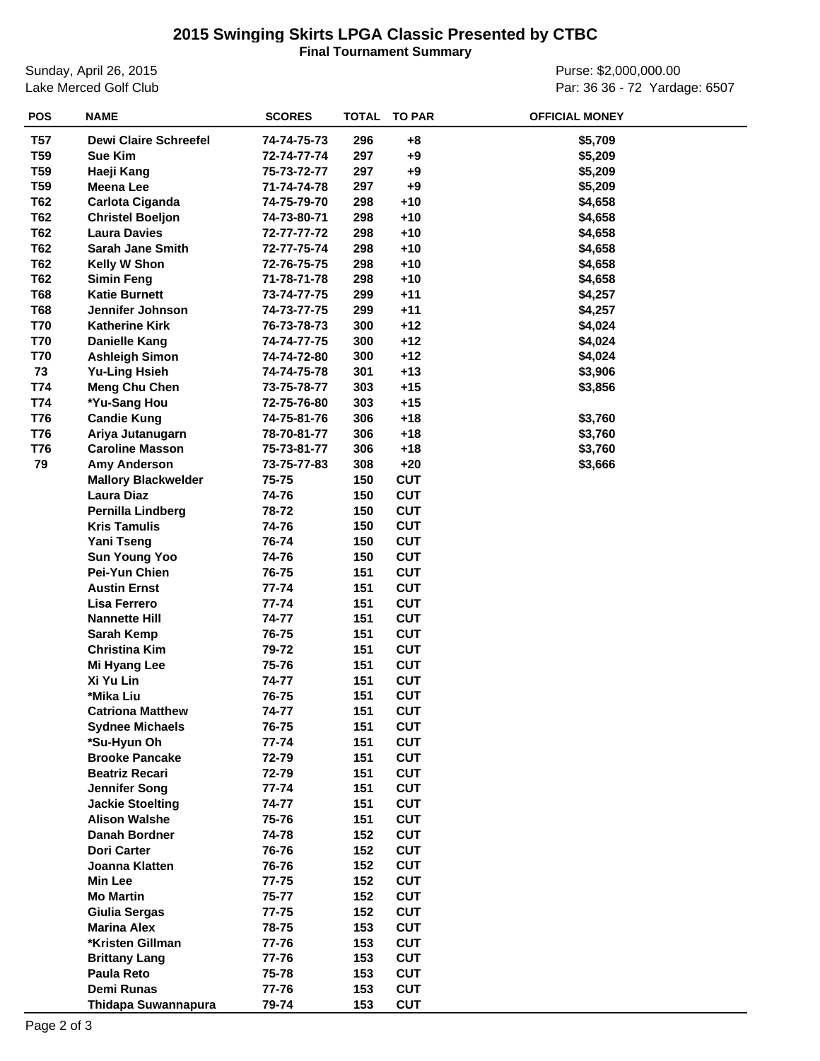## **2015 Swinging Skirts LPGA Classic Presented by CTBC**

**Final Tournament Summary**

Sunday, April 26, 2015 Lake Merced Golf Club

Purse: \$2,000,000.00 Par: 36 36 - 72 Yardage: 6507

| <b>POS</b>      | <b>NAME</b>                  | <b>SCORES</b> | <b>TOTAL</b> | <b>TO PAR</b> | <b>OFFICIAL MONEY</b> |
|-----------------|------------------------------|---------------|--------------|---------------|-----------------------|
| T57             | <b>Dewi Claire Schreefel</b> | 74-74-75-73   | 296          | +8            | \$5,709               |
| T <sub>59</sub> | <b>Sue Kim</b>               | 72-74-77-74   | 297          | $+9$          | \$5,209               |
| <b>T59</b>      | Haeji Kang                   | 75-73-72-77   | 297          | $+9$          | \$5,209               |
| T <sub>59</sub> | <b>Meena Lee</b>             | 71-74-74-78   | 297          | $+9$          | \$5,209               |
| T62             | Carlota Ciganda              | 74-75-79-70   | 298          | $+10$         | \$4,658               |
| <b>T62</b>      | <b>Christel Boeljon</b>      | 74-73-80-71   | 298          | $+10$         | \$4,658               |
| T62             | <b>Laura Davies</b>          | 72-77-77-72   | 298          | $+10$         | \$4,658               |
| T62             | <b>Sarah Jane Smith</b>      | 72-77-75-74   | 298          | $+10$         | \$4,658               |
| T62             | Kelly W Shon                 | 72-76-75-75   | 298          | $+10$         | \$4,658               |
| T62             | <b>Simin Feng</b>            | 71-78-71-78   | 298          | $+10$         | \$4,658               |
| <b>T68</b>      | <b>Katie Burnett</b>         | 73-74-77-75   | 299          | $+11$         | \$4,257               |
|                 | Jennifer Johnson             |               |              |               |                       |
| <b>T68</b>      |                              | 74-73-77-75   | 299          | $+11$         | \$4,257               |
| T70             | <b>Katherine Kirk</b>        | 76-73-78-73   | 300          | $+12$         | \$4,024               |
| T70             | Danielle Kang                | 74-74-77-75   | 300          | $+12$         | \$4,024               |
| T70             | <b>Ashleigh Simon</b>        | 74-74-72-80   | 300          | $+12$         | \$4,024               |
| 73              | <b>Yu-Ling Hsieh</b>         | 74-74-75-78   | 301          | $+13$         | \$3,906               |
| T74             | <b>Meng Chu Chen</b>         | 73-75-78-77   | 303          | $+15$         | \$3,856               |
| T74             | *Yu-Sang Hou                 | 72-75-76-80   | 303          | $+15$         |                       |
| T76             | <b>Candie Kung</b>           | 74-75-81-76   | 306          | $+18$         | \$3,760               |
| <b>T76</b>      | Ariya Jutanugarn             | 78-70-81-77   | 306          | $+18$         | \$3,760               |
| <b>T76</b>      | <b>Caroline Masson</b>       | 75-73-81-77   | 306          | $+18$         | \$3,760               |
| 79              | <b>Amy Anderson</b>          | 73-75-77-83   | 308          | $+20$         | \$3,666               |
|                 | <b>Mallory Blackwelder</b>   | 75-75         | 150          | <b>CUT</b>    |                       |
|                 | <b>Laura Diaz</b>            | 74-76         | 150          | <b>CUT</b>    |                       |
|                 | <b>Pernilla Lindberg</b>     | 78-72         | 150          | <b>CUT</b>    |                       |
|                 | <b>Kris Tamulis</b>          | 74-76         | 150          | <b>CUT</b>    |                       |
|                 | <b>Yani Tseng</b>            | 76-74         | 150          | <b>CUT</b>    |                       |
|                 | <b>Sun Young Yoo</b>         | 74-76         | 150          | <b>CUT</b>    |                       |
|                 | Pei-Yun Chien                | 76-75         | 151          | <b>CUT</b>    |                       |
|                 | <b>Austin Ernst</b>          | $77 - 74$     | 151          | <b>CUT</b>    |                       |
|                 | Lisa Ferrero                 | 77-74         | 151          | <b>CUT</b>    |                       |
|                 | <b>Nannette Hill</b>         | 74-77         | 151          | <b>CUT</b>    |                       |
|                 | <b>Sarah Kemp</b>            | 76-75         | 151          | <b>CUT</b>    |                       |
|                 | <b>Christina Kim</b>         | 79-72         | 151          | <b>CUT</b>    |                       |
|                 | Mi Hyang Lee                 | 75-76         | 151          | <b>CUT</b>    |                       |
|                 | Xi Yu Lin                    | 74-77         | 151          | <b>CUT</b>    |                       |
|                 | *Mika Liu                    | 76-75         | 151          | <b>CUT</b>    |                       |
|                 | <b>Catriona Matthew</b>      | 74-77         | 151          | <b>CUT</b>    |                       |
|                 | <b>Sydnee Michaels</b>       | 76-75         | 151          | <b>CUT</b>    |                       |
|                 | *Su-Hyun Oh                  | $77 - 74$     | 151          | <b>CUT</b>    |                       |
|                 | <b>Brooke Pancake</b>        | 72-79         | 151          | <b>CUT</b>    |                       |
|                 | <b>Beatriz Recari</b>        | 72-79         | 151          | <b>CUT</b>    |                       |
|                 | <b>Jennifer Song</b>         | 77-74         | 151          | <b>CUT</b>    |                       |
|                 | <b>Jackie Stoelting</b>      | 74-77         | 151          | <b>CUT</b>    |                       |
|                 | <b>Alison Walshe</b>         | 75-76         | 151          | <b>CUT</b>    |                       |
|                 | Danah Bordner                | 74-78         | 152          | <b>CUT</b>    |                       |
|                 | <b>Dori Carter</b>           | 76-76         | 152          | <b>CUT</b>    |                       |
|                 | Joanna Klatten               | 76-76         | 152          | <b>CUT</b>    |                       |
|                 |                              |               |              |               |                       |
|                 | <b>Min Lee</b>               | 77-75         | 152          | <b>CUT</b>    |                       |
|                 | <b>Mo Martin</b>             | 75-77         | 152          | <b>CUT</b>    |                       |
|                 | Giulia Sergas                | 77-75         | 152          | <b>CUT</b>    |                       |
|                 | <b>Marina Alex</b>           | 78-75         | 153          | <b>CUT</b>    |                       |
|                 | *Kristen Gillman             | 77-76         | 153          | <b>CUT</b>    |                       |
|                 | <b>Brittany Lang</b>         | 77-76         | 153          | <b>CUT</b>    |                       |
|                 | <b>Paula Reto</b>            | 75-78         | 153          | <b>CUT</b>    |                       |
|                 | Demi Runas                   | 77-76         | 153          | <b>CUT</b>    |                       |
|                 | Thidapa Suwannapura          | 79-74         | 153          | <b>CUT</b>    |                       |